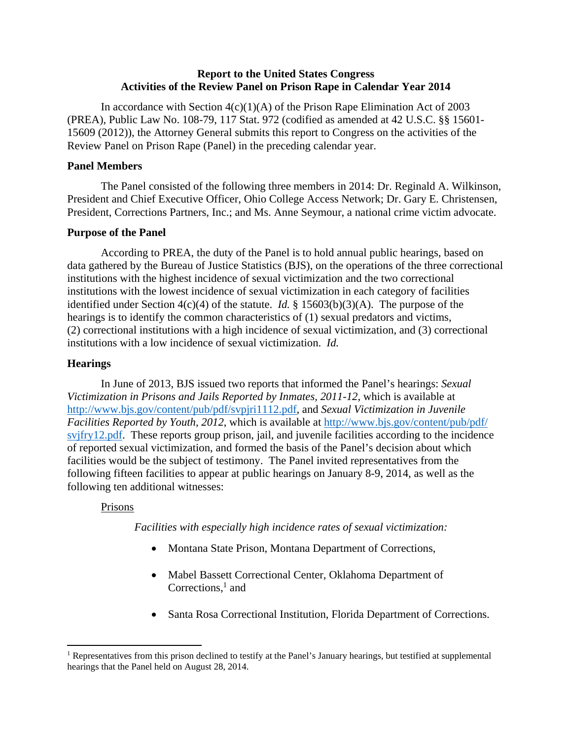# **Report to the United States Congress Activities of the Review Panel on Prison Rape in Calendar Year 2014**

In accordance with Section  $4(c)(1)(A)$  of the Prison Rape Elimination Act of 2003 (PREA), Public Law No. 108-79, 117 Stat. 972 (codified as amended at 42 U.S.C. §§ 15601- 15609 (2012)), the Attorney General submits this report to Congress on the activities of the Review Panel on Prison Rape (Panel) in the preceding calendar year.

# **Panel Members**

 The Panel consisted of the following three members in 2014: Dr. Reginald A. Wilkinson, President and Chief Executive Officer, Ohio College Access Network; Dr. Gary E. Christensen, President, Corrections Partners, Inc.; and Ms. Anne Seymour, a national crime victim advocate.

#### **Purpose of the Panel**

 According to PREA, the duty of the Panel is to hold annual public hearings, based on data gathered by the Bureau of Justice Statistics (BJS), on the operations of the three correctional institutions with the highest incidence of sexual victimization and the two correctional institutions with the lowest incidence of sexual victimization in each category of facilities identified under Section 4(c)(4) of the statute. *Id.* § 15603(b)(3)(A). The purpose of the hearings is to identify the common characteristics of (1) sexual predators and victims, (2) correctional institutions with a high incidence of sexual victimization, and (3) correctional institutions with a low incidence of sexual victimization. *Id.* 

## **Hearings**

 In June of 2013, BJS issued two reports that informed the Panel's hearings: *Sexual Victimization in Prisons and Jails Reported by Inmates, 2011-12*, which is available at http://www.bjs.gov/content/pub/pdf/svpjri1112.pdf, and *Sexual Victimization in Juvenile Facilities Reported by Youth, 2012*, which is available at http://www.bjs.gov/content/pub/pdf/ svjfry12.pdf. These reports group prison, jail, and juvenile facilities according to the incidence of reported sexual victimization, and formed the basis of the Panel's decision about which facilities would be the subject of testimony. The Panel invited representatives from the following fifteen facilities to appear at public hearings on January 8-9, 2014, as well as the following ten additional witnesses:

# Prisons

*Facilities with especially high incidence rates of sexual victimization:* 

- Montana State Prison, Montana Department of Corrections,
- Mabel Bassett Correctional Center, Oklahoma Department of Corrections, $<sup>1</sup>$  and</sup>
- Santa Rosa Correctional Institution, Florida Department of Corrections.

<sup>&</sup>lt;sup>1</sup> Representatives from this prison declined to testify at the Panel's January hearings, but testified at supplemental hearings that the Panel held on August 28, 2014.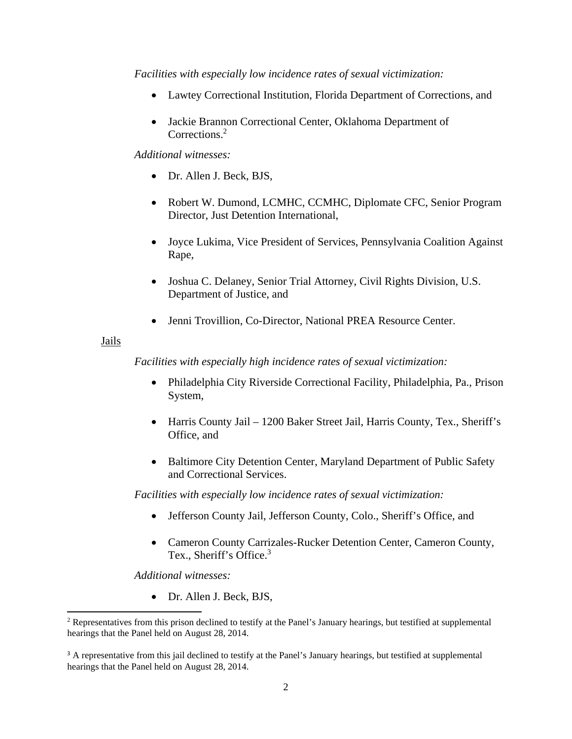*Facilities with especially low incidence rates of sexual victimization:* 

- Lawtey Correctional Institution, Florida Department of Corrections, and
- Jackie Brannon Correctional Center, Oklahoma Department of Corrections.<sup>2</sup>

## *Additional witnesses:*

- Dr. Allen J. Beck, BJS,
- Robert W. Dumond, LCMHC, CCMHC, Diplomate CFC, Senior Program Director, Just Detention International,
- Joyce Lukima, Vice President of Services, Pennsylvania Coalition Against Rape,
- Joshua C. Delaney, Senior Trial Attorney, Civil Rights Division, U.S. Department of Justice, and
- Jenni Trovillion, Co-Director, National PREA Resource Center.

#### Jails

*Facilities with especially high incidence rates of sexual victimization:* 

- Philadelphia City Riverside Correctional Facility, Philadelphia, Pa., Prison System,
- Harris County Jail 1200 Baker Street Jail, Harris County, Tex., Sheriff's Office, and
- Baltimore City Detention Center, Maryland Department of Public Safety and Correctional Services.

*Facilities with especially low incidence rates of sexual victimization:* 

- Jefferson County Jail, Jefferson County, Colo., Sheriff's Office, and
- Cameron County Carrizales-Rucker Detention Center, Cameron County, Tex., Sheriff's Office.<sup>3</sup>

*Additional witnesses:* 

• Dr. Allen J. Beck, BJS,

<sup>&</sup>lt;sup>2</sup> Representatives from this prison declined to testify at the Panel's January hearings, but testified at supplemental hearings that the Panel held on August 28, 2014.

<sup>&</sup>lt;sup>3</sup> A representative from this jail declined to testify at the Panel's January hearings, but testified at supplemental hearings that the Panel held on August 28, 2014.